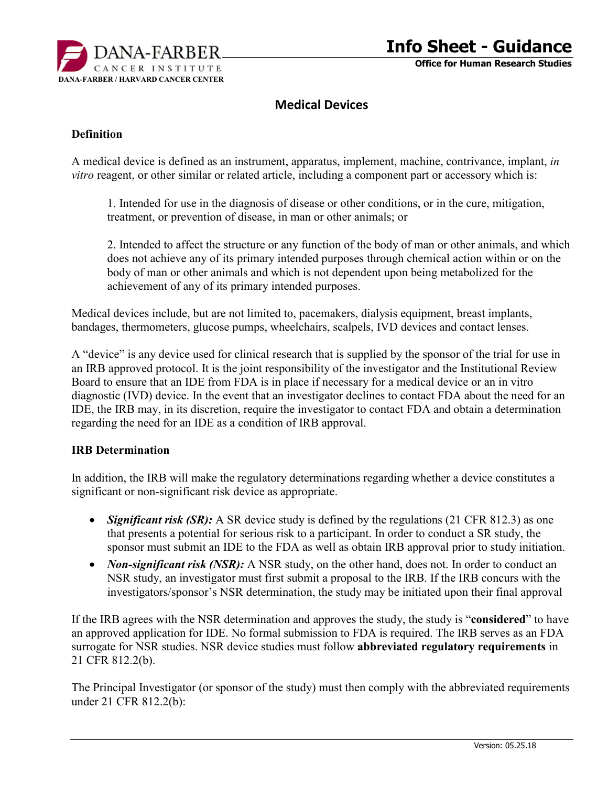

# **Medical Devices**

#### **Definition**

A medical device is defined as an instrument, apparatus, implement, machine, contrivance, implant, *in vitro* reagent, or other similar or related article, including a component part or accessory which is:

1. Intended for use in the diagnosis of disease or other conditions, or in the cure, mitigation, treatment, or prevention of disease, in man or other animals; or

2. Intended to affect the structure or any function of the body of man or other animals, and which does not achieve any of its primary intended purposes through chemical action within or on the body of man or other animals and which is not dependent upon being metabolized for the achievement of any of its primary intended purposes.

Medical devices include, but are not limited to, pacemakers, dialysis equipment, breast implants, bandages, thermometers, glucose pumps, wheelchairs, scalpels, IVD devices and contact lenses.

A "device" is any device used for clinical research that is supplied by the sponsor of the trial for use in an IRB approved protocol. It is the joint responsibility of the investigator and the Institutional Review Board to ensure that an IDE from FDA is in place if necessary for a medical device or an in vitro diagnostic (IVD) device. In the event that an investigator declines to contact FDA about the need for an IDE, the IRB may, in its discretion, require the investigator to contact FDA and obtain a determination regarding the need for an IDE as a condition of IRB approval.

#### **IRB Determination**

In addition, the IRB will make the regulatory determinations regarding whether a device constitutes a significant or non-significant risk device as appropriate.

- *Significant risk (SR)*: A SR device study is defined by the regulations (21 CFR 812.3) as one that presents a potential for serious risk to a participant. In order to conduct a SR study, the sponsor must submit an IDE to the FDA as well as obtain IRB approval prior to study initiation.
- *Non-significant risk (NSR)*: A NSR study, on the other hand, does not. In order to conduct an NSR study, an investigator must first submit a proposal to the IRB. If the IRB concurs with the investigators/sponsor's NSR determination, the study may be initiated upon their final approval

If the IRB agrees with the NSR determination and approves the study, the study is "**considered**" to have an approved application for IDE. No formal submission to FDA is required. The IRB serves as an FDA surrogate for NSR studies. NSR device studies must follow **abbreviated regulatory requirements** in 21 CFR 812.2(b).

The Principal Investigator (or sponsor of the study) must then comply with the abbreviated requirements under 21 CFR 812.2(b):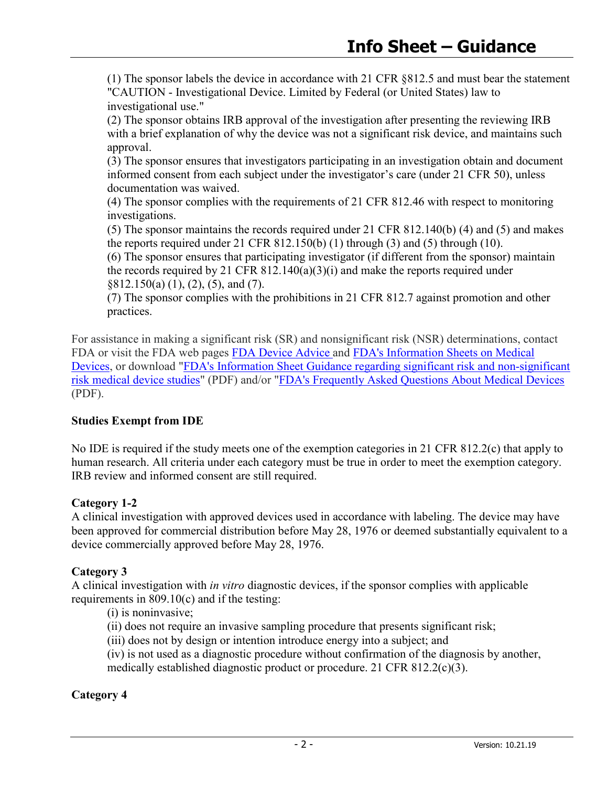(1) The sponsor labels the device in accordance with 21 CFR §812.5 and must bear the statement "CAUTION - Investigational Device. Limited by Federal (or United States) law to investigational use."

(2) The sponsor obtains IRB approval of the investigation after presenting the reviewing IRB with a brief explanation of why the device was not a significant risk device, and maintains such approval.

(3) The sponsor ensures that investigators participating in an investigation obtain and document informed consent from each subject under the investigator's care (under 21 CFR 50), unless documentation was waived.

(4) The sponsor complies with the requirements of 21 CFR 812.46 with respect to monitoring investigations.

(5) The sponsor maintains the records required under 21 CFR 812.140(b) (4) and (5) and makes the reports required under 21 CFR  $812.150(b)$  (1) through (3) and (5) through (10).

(6) The sponsor ensures that participating investigator (if different from the sponsor) maintain the records required by 21 CFR  $812.140(a)(3)(i)$  and make the reports required under §812.150(a) (1), (2), (5), and (7).

(7) The sponsor complies with the prohibitions in 21 CFR 812.7 against promotion and other practices.

For assistance in making a significant risk (SR) and nonsignificant risk (NSR) determinations, contact FDA or visit the FDA web pages [FDA Device Advice](http://www.fda.gov/MedicalDevices/DeviceRegulationandGuidance/default.htm) and [FDA's Information Sheets on Medical](http://www.fda.gov/ScienceResearch/SpecialTopics/RunningClinicalTrials/GuidancesInformationSheetsandNotices/ucm113709.htm)  [Devices,](http://www.fda.gov/ScienceResearch/SpecialTopics/RunningClinicalTrials/GuidancesInformationSheetsandNotices/ucm113709.htm) or download ["FDA's Information Sheet Guidance regarding significant risk and non-significant](http://www.fda.gov/downloads/RegulatoryInformation/Guidances/UCM126418.pdf)  [risk medical device studies"](http://www.fda.gov/downloads/RegulatoryInformation/Guidances/UCM126418.pdf) (PDF) and/or ["FDA's Frequently Asked Questions About Medical Devices](http://www.fda.gov/downloads/RegulatoryInformation/Guidances/UCM127067.pdf) (PDF).

### **Studies Exempt from IDE**

No IDE is required if the study meets one of the exemption categories in 21 CFR 812.2(c) that apply to human research. All criteria under each category must be true in order to meet the exemption category. IRB review and informed consent are still required.

### **Category 1-2**

A clinical investigation with approved devices used in accordance with labeling. The device may have been approved for commercial distribution before May 28, 1976 or deemed substantially equivalent to a device commercially approved before May 28, 1976.

### **Category 3**

A clinical investigation with *in vitro* diagnostic devices, if the sponsor complies with applicable requirements in 809.10(c) and if the testing:

(i) is noninvasive;

- (ii) does not require an invasive sampling procedure that presents significant risk;
- (iii) does not by design or intention introduce energy into a subject; and
- (iv) is not used as a diagnostic procedure without confirmation of the diagnosis by another, medically established diagnostic product or procedure. 21 CFR 812.2(c)(3).

### **Category 4**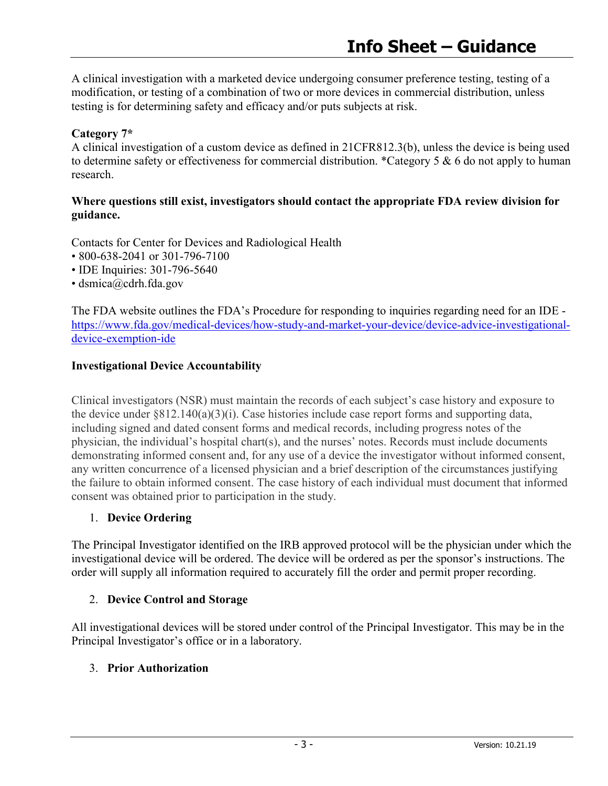A clinical investigation with a marketed device undergoing consumer preference testing, testing of a modification, or testing of a combination of two or more devices in commercial distribution, unless testing is for determining safety and efficacy and/or puts subjects at risk.

### **Category 7\***

A clinical investigation of a custom device as defined in 21CFR812.3(b), unless the device is being used to determine safety or effectiveness for commercial distribution. \*Category 5 & 6 do not apply to human research.

#### **Where questions still exist, investigators should contact the appropriate FDA review division for guidance.**

Contacts for Center for Devices and Radiological Health

- 800-638-2041 or 301-796-7100
- IDE Inquiries: 301-796-5640
- dsmica@cdrh.fda.gov

The FDA website outlines the FDA's Procedure for responding to inquiries regarding need for an IDE [https://www.fda.gov/medical-devices/how-study-and-market-your-device/device-advice-investigational](https://www.fda.gov/medical-devices/how-study-and-market-your-device/device-advice-investigational-device-exemption-ide)[device-exemption-ide](https://www.fda.gov/medical-devices/how-study-and-market-your-device/device-advice-investigational-device-exemption-ide)

### **Investigational Device Accountability**

Clinical investigators (NSR) must maintain the records of each subject's case history and exposure to the device under §812.140(a)(3)(i). Case histories include case report forms and supporting data, including signed and dated consent forms and medical records, including progress notes of the physician, the individual's hospital chart(s), and the nurses' notes. Records must include documents demonstrating informed consent and, for any use of a device the investigator without informed consent, any written concurrence of a licensed physician and a brief description of the circumstances justifying the failure to obtain informed consent. The case history of each individual must document that informed consent was obtained prior to participation in the study.

### 1. **Device Ordering**

The Principal Investigator identified on the IRB approved protocol will be the physician under which the investigational device will be ordered. The device will be ordered as per the sponsor's instructions. The order will supply all information required to accurately fill the order and permit proper recording.

## 2. **Device Control and Storage**

All investigational devices will be stored under control of the Principal Investigator. This may be in the Principal Investigator's office or in a laboratory.

### 3. **Prior Authorization**